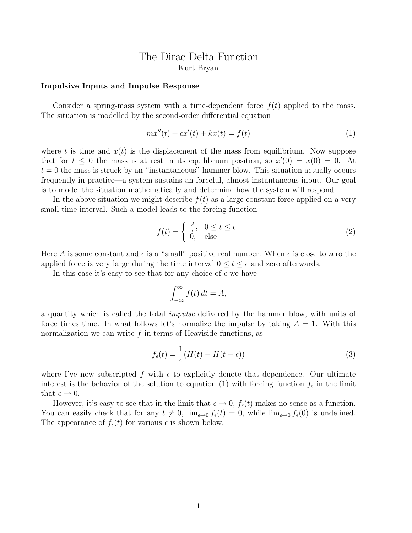# The Dirac Delta Function Kurt Bryan

#### Impulsive Inputs and Impulse Response

Consider a spring-mass system with a time-dependent force  $f(t)$  applied to the mass. The situation is modelled by the second-order differential equation

$$
mx''(t) + cx'(t) + kx(t) = f(t)
$$
\n(1)

where t is time and  $x(t)$  is the displacement of the mass from equilibrium. Now suppose that for  $t \leq 0$  the mass is at rest in its equilibrium position, so  $x'(0) = x(0) = 0$ . At  $t = 0$  the mass is struck by an "instantaneous" hammer blow. This situation actually occurs frequently in practice—a system sustains an forceful, almost-instantaneous input. Our goal is to model the situation mathematically and determine how the system will respond.

In the above situation we might describe  $f(t)$  as a large constant force applied on a very small time interval. Such a model leads to the forcing function

$$
f(t) = \begin{cases} \frac{A}{\epsilon}, & 0 \le t \le \epsilon \\ 0, & \text{else} \end{cases}
$$
 (2)

Here A is some constant and  $\epsilon$  is a "small" positive real number. When  $\epsilon$  is close to zero the applied force is very large during the time interval  $0 \le t \le \epsilon$  and zero afterwards.

In this case it's easy to see that for any choice of  $\epsilon$  we have

$$
\int_{-\infty}^{\infty} f(t) dt = A,
$$

a quantity which is called the total impulse delivered by the hammer blow, with units of force times time. In what follows let's normalize the impulse by taking  $A = 1$ . With this normalization we can write  $f$  in terms of Heaviside functions, as

$$
f_{\epsilon}(t) = \frac{1}{\epsilon}(H(t) - H(t - \epsilon))
$$
\n(3)

where I've now subscripted f with  $\epsilon$  to explicitly denote that dependence. Our ultimate interest is the behavior of the solution to equation (1) with forcing function  $f_{\epsilon}$  in the limit that  $\epsilon \to 0$ .

However, it's easy to see that in the limit that  $\epsilon \to 0$ ,  $f_{\epsilon}(t)$  makes no sense as a function. You can easily check that for any  $t \neq 0$ ,  $\lim_{\epsilon \to 0} f_{\epsilon}(t) = 0$ , while  $\lim_{\epsilon \to 0} f_{\epsilon}(0)$  is undefined. The appearance of  $f_{\epsilon}(t)$  for various  $\epsilon$  is shown below.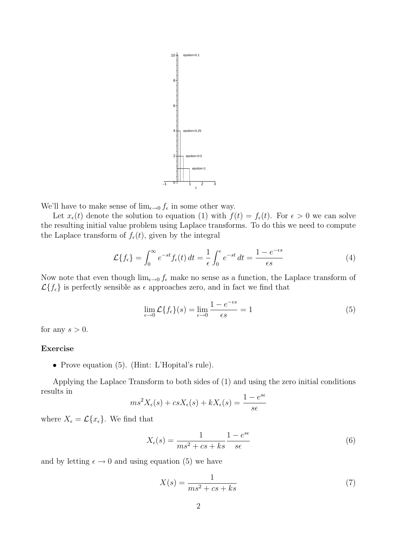

We'll have to make sense of  $\lim_{\epsilon \to 0} f_{\epsilon}$  in some other way.

Let  $x_{\epsilon}(t)$  denote the solution to equation (1) with  $f(t) = f_{\epsilon}(t)$ . For  $\epsilon > 0$  we can solve the resulting initial value problem using Laplace transforms. To do this we need to compute the Laplace transform of  $f_{\epsilon}(t)$ , given by the integral

$$
\mathcal{L}\{f_{\epsilon}\} = \int_0^{\infty} e^{-st} f_{\epsilon}(t) dt = \frac{1}{\epsilon} \int_0^{\epsilon} e^{-st} dt = \frac{1 - e^{-\epsilon s}}{\epsilon s}
$$
(4)

Now note that even though  $\lim_{\epsilon \to 0} f_{\epsilon}$  make no sense as a function, the Laplace transform of  $\mathcal{L}\lbrace f_{\epsilon}\rbrace$  is perfectly sensible as  $\epsilon$  approaches zero, and in fact we find that

$$
\lim_{\epsilon \to 0} \mathcal{L}\{f_{\epsilon}\}(s) = \lim_{\epsilon \to 0} \frac{1 - e^{-\epsilon s}}{\epsilon s} = 1
$$
\n(5)

for any  $s > 0$ .

# Exercise

• Prove equation (5). (Hint: L'Hopital's rule).

Applying the Laplace Transform to both sides of (1) and using the zero initial conditions results in  $s\epsilon$ 

$$
ms^2X_{\epsilon}(s) + csX_{\epsilon}(s) + kX_{\epsilon}(s) = \frac{1 - e^{s\epsilon}}{s\epsilon}
$$

where  $X_{\epsilon} = \mathcal{L}\{x_{\epsilon}\}\.$  We find that

$$
X_{\epsilon}(s) = \frac{1}{ms^2 + cs + ks} \frac{1 - e^{s\epsilon}}{s\epsilon}
$$
(6)

and by letting  $\epsilon \to 0$  and using equation (5) we have

$$
X(s) = \frac{1}{ms^2 + cs + ks} \tag{7}
$$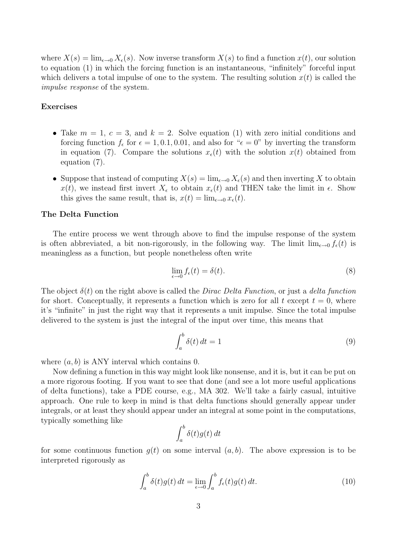where  $X(s) = \lim_{\epsilon \to 0} X_{\epsilon}(s)$ . Now inverse transform  $X(s)$  to find a function  $x(t)$ , our solution to equation (1) in which the forcing function is an instantaneous, "infinitely" forceful input which delivers a total impulse of one to the system. The resulting solution  $x(t)$  is called the impulse response of the system.

## Exercises

- Take  $m = 1, c = 3$ , and  $k = 2$ . Solve equation (1) with zero initial conditions and forcing function  $f_{\epsilon}$  for  $\epsilon = 1, 0.1, 0.01$ , and also for " $\epsilon = 0$ " by inverting the transform in equation (7). Compare the solutions  $x_{\epsilon}(t)$  with the solution  $x(t)$  obtained from equation (7).
- Suppose that instead of computing  $X(s) = \lim_{\epsilon \to 0} X_{\epsilon}(s)$  and then inverting X to obtain  $x(t)$ , we instead first invert  $X_{\epsilon}$  to obtain  $x_{\epsilon}(t)$  and THEN take the limit in  $\epsilon$ . Show this gives the same result, that is,  $x(t) = \lim_{\epsilon \to 0} x_{\epsilon}(t)$ .

## The Delta Function

The entire process we went through above to find the impulse response of the system is often abbreviated, a bit non-rigorously, in the following way. The limit  $\lim_{\epsilon \to 0} f_{\epsilon}(t)$  is meaningless as a function, but people nonetheless often write

$$
\lim_{\epsilon \to 0} f_{\epsilon}(t) = \delta(t). \tag{8}
$$

The object  $\delta(t)$  on the right above is called the *Dirac Delta Function*, or just a *delta function* for short. Conceptually, it represents a function which is zero for all t except  $t = 0$ , where it's "infinite" in just the right way that it represents a unit impulse. Since the total impulse delivered to the system is just the integral of the input over time, this means that

$$
\int_{a}^{b} \delta(t) dt = 1 \tag{9}
$$

where  $(a, b)$  is ANY interval which contains 0.

Now defining a function in this way might look like nonsense, and it is, but it can be put on a more rigorous footing. If you want to see that done (and see a lot more useful applications of delta functions), take a PDE course, e.g., MA 302. We'll take a fairly casual, intuitive approach. One rule to keep in mind is that delta functions should generally appear under integrals, or at least they should appear under an integral at some point in the computations, typically something like

$$
\int_a^b \delta(t)g(t) \, dt
$$

for some continuous function  $g(t)$  on some interval  $(a, b)$ . The above expression is to be interpreted rigorously as

$$
\int_{a}^{b} \delta(t)g(t) dt = \lim_{\epsilon \to 0} \int_{a}^{b} f_{\epsilon}(t)g(t) dt.
$$
 (10)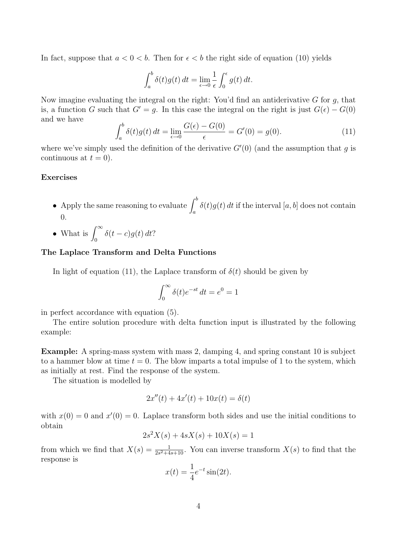In fact, suppose that  $a < 0 < b$ . Then for  $\epsilon < b$  the right side of equation (10) yields

$$
\int_a^b \delta(t)g(t) dt = \lim_{\epsilon \to 0} \frac{1}{\epsilon} \int_0^{\epsilon} g(t) dt.
$$

Now imagine evaluating the integral on the right: You'd find an antiderivative  $G$  for  $g$ , that is, a function G such that  $G' = g$ . In this case the integral on the right is just  $G(\epsilon) - G(0)$ and we have

$$
\int_{a}^{b} \delta(t)g(t) dt = \lim_{\epsilon \to 0} \frac{G(\epsilon) - G(0)}{\epsilon} = G'(0) = g(0).
$$
 (11)

where we've simply used the definition of the derivative  $G'(0)$  (and the assumption that g is continuous at  $t = 0$ ).

### Exercises

- Apply the same reasoning to evaluate  $\int_a^b \delta(t)g(t) dt$  if the interval  $[a, b]$  does not contain 0.
- What is  $\int_0^\infty \delta(t-c)g(t) dt$ ?

# The Laplace Transform and Delta Functions

In light of equation (11), the Laplace transform of  $\delta(t)$  should be given by

$$
\int_0^\infty \delta(t)e^{-st} dt = e^0 = 1
$$

in perfect accordance with equation (5).

The entire solution procedure with delta function input is illustrated by the following example:

Example: A spring-mass system with mass 2, damping 4, and spring constant 10 is subject to a hammer blow at time  $t = 0$ . The blow imparts a total impulse of 1 to the system, which as initially at rest. Find the response of the system.

The situation is modelled by

$$
2x''(t) + 4x'(t) + 10x(t) = \delta(t)
$$

with  $x(0) = 0$  and  $x'(0) = 0$ . Laplace transform both sides and use the initial conditions to obtain

$$
2s^2X(s) + 4sX(s) + 10X(s) = 1
$$

from which we find that  $X(s) = \frac{1}{2s^2+4s+10}$ . You can inverse transform  $X(s)$  to find that the response is

$$
x(t) = \frac{1}{4}e^{-t}\sin(2t).
$$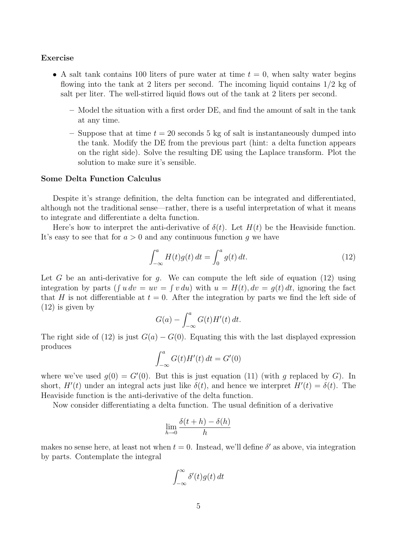#### Exercise

- A salt tank contains 100 liters of pure water at time  $t = 0$ , when salty water begins flowing into the tank at 2 liters per second. The incoming liquid contains  $1/2$  kg of salt per liter. The well-stirred liquid flows out of the tank at 2 liters per second.
	- Model the situation with a first order DE, and find the amount of salt in the tank at any time.
	- Suppose that at time  $t = 20$  seconds 5 kg of salt is instantaneously dumped into the tank. Modify the DE from the previous part (hint: a delta function appears on the right side). Solve the resulting DE using the Laplace transform. Plot the solution to make sure it's sensible.

## Some Delta Function Calculus

Despite it's strange definition, the delta function can be integrated and differentiated, although not the traditional sense—rather, there is a useful interpretation of what it means to integrate and differentiate a delta function.

Here's how to interpret the anti-derivative of  $\delta(t)$ . Let  $H(t)$  be the Heaviside function. It's easy to see that for  $a > 0$  and any continuous function q we have

$$
\int_{-\infty}^{a} H(t)g(t) dt = \int_{0}^{a} g(t) dt.
$$
 (12)

Let G be an anti-derivative for g. We can compute the left side of equation (12) using integration by parts  $(\int u dv = uv = \int v du)$  with  $u = H(t)$ ,  $dv = g(t) dt$ , ignoring the fact that H is not differentiable at  $t = 0$ . After the integration by parts we find the left side of (12) is given by  $ra$ 

$$
G(a) - \int_{-\infty}^{a} G(t)H'(t) dt.
$$

The right side of (12) is just  $G(a) - G(0)$ . Equating this with the last displayed expression produces  $\int a$ 

$$
\int_{-\infty}^{a} G(t)H'(t) dt = G'(0)
$$

where we've used  $g(0) = G'(0)$ . But this is just equation (11) (with g replaced by G). In short,  $H'(t)$  under an integral acts just like  $\delta(t)$ , and hence we interpret  $H'(t) = \delta(t)$ . The Heaviside function is the anti-derivative of the delta function.

Now consider differentiating a delta function. The usual definition of a derivative

$$
\lim_{h \to 0} \frac{\delta(t+h) - \delta(h)}{h}
$$

makes no sense here, at least not when  $t = 0$ . Instead, we'll define  $\delta'$  as above, via integration by parts. Contemplate the integral

$$
\int_{-\infty}^{\infty} \delta'(t) g(t) dt
$$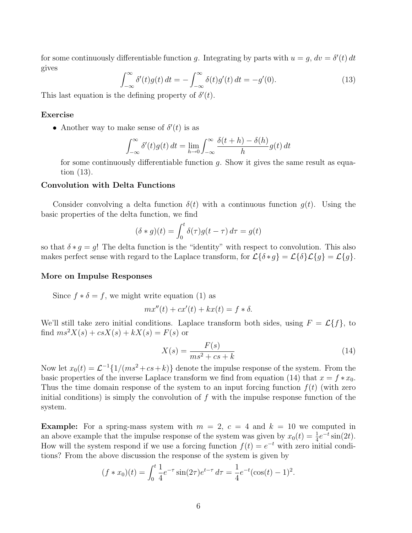for some continuously differentiable function g. Integrating by parts with  $u = g$ ,  $dv = \delta'(t) dt$ gives

$$
\int_{-\infty}^{\infty} \delta'(t)g(t) dt = -\int_{-\infty}^{\infty} \delta(t)g'(t) dt = -g'(0).
$$
 (13)

This last equation is the defining property of  $\delta'(t)$ .

# Exercise

• Another way to make sense of  $\delta'(t)$  is as

$$
\int_{-\infty}^{\infty} \delta'(t)g(t) dt = \lim_{h \to 0} \int_{-\infty}^{\infty} \frac{\delta(t+h) - \delta(h)}{h} g(t) dt
$$

for some continuously differentiable function  $q$ . Show it gives the same result as equation (13).

# Convolution with Delta Functions

Consider convolving a delta function  $\delta(t)$  with a continuous function  $q(t)$ . Using the basic properties of the delta function, we find

$$
(\delta * g)(t) = \int_0^t \delta(\tau)g(t - \tau) d\tau = g(t)
$$

so that  $\delta * g = g!$ . The delta function is the "identity" with respect to convolution. This also makes perfect sense with regard to the Laplace transform, for  $\mathcal{L}\{\delta * g\} = \mathcal{L}\{\delta\} \mathcal{L}\{g\} = \mathcal{L}\{g\}.$ 

### More on Impulse Responses

Since  $f * \delta = f$ , we might write equation (1) as

$$
mx''(t) + cx'(t) + kx(t) = f * \delta.
$$

We'll still take zero initial conditions. Laplace transform both sides, using  $F = \mathcal{L}{f}$ , to find  $ms^2X(s) + csX(s) + kX(s) = F(s)$  or

$$
X(s) = \frac{F(s)}{ms^2 + cs + k} \tag{14}
$$

Now let  $x_0(t) = \mathcal{L}^{-1}{1/(ms^2 + cs + k)}$  denote the impulse response of the system. From the basic properties of the inverse Laplace transform we find from equation (14) that  $x = f * x_0$ . Thus the time domain response of the system to an input forcing function  $f(t)$  (with zero initial conditions) is simply the convolution of  $f$  with the impulse response function of the system.

**Example:** For a spring-mass system with  $m = 2$ ,  $c = 4$  and  $k = 10$  we computed in an above example that the impulse response of the system was given by  $x_0(t) = \frac{1}{4}e^{-t}\sin(2t)$ . How will the system respond if we use a forcing function  $f(t) = e^{-t}$  with zero initial conditions? From the above discussion the response of the system is given by

$$
(f * x_0)(t) = \int_0^t \frac{1}{4} e^{-\tau} \sin(2\tau) e^{t-\tau} d\tau = \frac{1}{4} e^{-t} (\cos(t) - 1)^2.
$$